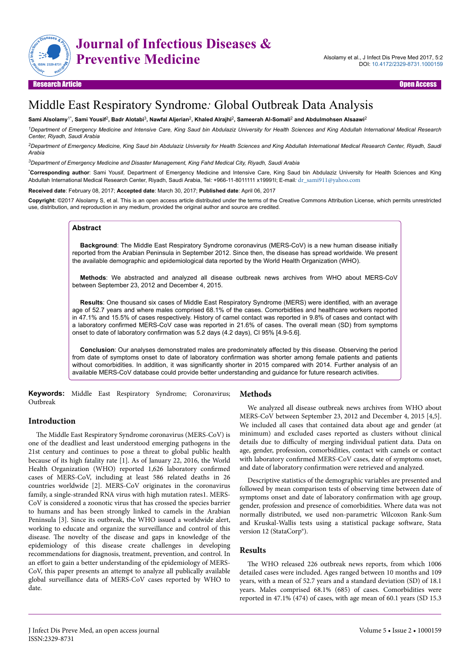

# Middle East Respiratory Syndrome*:* Global Outbreak Data Analysis

#### $S$ ami Alsolamy<sup>1\*</sup>, Sami Yousif<sup>2</sup>, Badr Alotabi<sup>3</sup>, Nawfal Aljerian<sup>2</sup>, Khaled Alrajhi<sup>2</sup>, Sameerah Al-Somali<sup>2</sup> and Abdulmohsen Alsaawi<sup>2</sup>

*<sup>1</sup>Department of Emergency Medicine and Intensive Care, King Saud bin Abdulaziz University for Health Sciences and King Abdullah International Medical Research Center, Riyadh, Saudi Arabia*

*<sup>2</sup>Department of Emergency Medicine, King Saud bin Abdulaziz University for Health Sciences and King Abdullah International Medical Research Center, Riyadh, Saudi Arabia*

*<sup>3</sup>Department of Emergency Medicine and Disaster Management, King Fahd Medical City, Riyadh, Saudi Arabia*

\***Corresponding author**: Sami Yousif*,* Department of Emergency Medicine and Intensive Care, King Saud bin Abdulaziz University for Health Sciences and King Abdullah International Medical Research Center, Riyadh, Saudi Arabia, Tel*:* +966-11-8011111 x19991l; E-mail*:* [dr\\_sami911@yahoo.com](mailto:dr_sami911@yahoo.com)

**Received date**: February 08, 2017; **Accepted date**: March 30, 2017; **Published date**: April 06, 2017

**Copyright**: ©2017 Alsolamy S, et al. This is an open access article distributed under the terms of the Creative Commons Attribution License, which permits unrestricted use, distribution, and reproduction in any medium, provided the original author and source are credited.

### **Abstract**

**Background**: The Middle East Respiratory Syndrome coronavirus (MERS-CoV) is a new human disease initially reported from the Arabian Peninsula in September 2012. Since then, the disease has spread worldwide. We present the available demographic and epidemiological data reported by the World Health Organization (WHO).

**Methods**: We abstracted and analyzed all disease outbreak news archives from WHO about MERS-CoV between September 23, 2012 and December 4, 2015.

**Results**: One thousand six cases of Middle East Respiratory Syndrome (MERS) were identified, with an average age of 52.7 years and where males comprised 68.1% of the cases. Comorbidities and healthcare workers reported in 47.1% and 15.5% of cases respectively. History of camel contact was reported in 9.8% of cases and contact with a laboratory confirmed MERS-CoV case was reported in 21.6% of cases. The overall mean (SD) from symptoms onset to date of laboratory confirmation was 5.2 days (4.2 days), CI 95% [4.9-5.6].

**Conclusion**: Our analyses demonstrated males are predominately affected by this disease. Observing the period from date of symptoms onset to date of laboratory confirmation was shorter among female patients and patients without comorbidities. In addition, it was significantly shorter in 2015 compared with 2014. Further analysis of an available MERS-CoV database could provide better understanding and guidance for future research activities.

**Keywords:** Middle East Respiratory Syndrome; Coronavirus; Outbreak

## **Introduction**

The Middle East Respiratory Syndrome coronavirus (MERS-CoV) is one of the deadliest and least understood emerging pathogens in the 21st century and continues to pose a threat to global public health because of its high fatality rate [1]. As of January 22, 2016, the World Health Organization (WHO) reported 1,626 laboratory confirmed cases of MERS-CoV, including at least 586 related deaths in 26 countries worldwide [2]. MERS-CoV originates in the coronavirus family, a single-stranded RNA virus with high mutation rates1. MERS-CoV is considered a zoonotic virus that has crossed the species barrier to humans and has been strongly linked to camels in the Arabian Peninsula [3]. Since its outbreak, the WHO issued a worldwide alert, working to educate and organize the surveillance and control of this disease. Нe novelty of the disease and gaps in knowledge of the epidemiology of this disease create challenges in developing recommendations for diagnosis, treatment, prevention, and control. In an effort to gain a better understanding of the epidemiology of MERS-CoV, this paper presents an attempt to analyze all publically available global surveillance data of MERS-CoV cases reported by WHO to date.

#### **Methods**

We analyzed all disease outbreak news archives from WHO about MERS-CoV between September 23, 2012 and December 4, 2015 [4,5]. We included all cases that contained data about age and gender (at minimum) and excluded cases reported as clusters without clinical details due to difficulty of merging individual patient data. Data on age, gender, profession, comorbidities, contact with camels or contact with laboratory confirmed MERS-CoV cases, date of symptoms onset, and date of laboratory confirmation were retrieved and analyzed.

Descriptive statistics of the demographic variables are presented and followed by mean comparison tests of observing time between date of symptoms onset and date of laboratory confirmation with age group, gender, profession and presence of comorbidities. Where data was not normally distributed, we used non-parametric Wilcoxon Rank-Sum and Kruskal-Wallis tests using a statistical package software, Stata version 12 (StataCorp®).

#### **Results**

The WHO released 226 outbreak news reports, from which 1006 detailed cases were included. Ages ranged between 10 months and 109 years, with a mean of 52.7 years and a standard deviation (SD) of 18.1 years. Males comprised 68.1% (685) of cases. Comorbidities were reported in 47.1% (474) of cases, with age mean of 60.1 years (SD 15.3